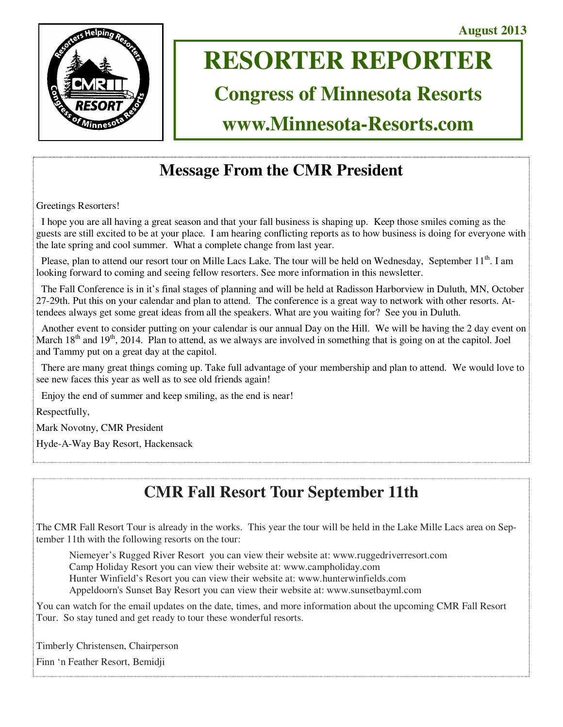

# **RESORTER REPORTER**

# **Congress of Minnesota Resorts**

# **www.Minnesota-Resorts.com**

## **Message From the CMR President**

Greetings Resorters!

 I hope you are all having a great season and that your fall business is shaping up. Keep those smiles coming as the guests are still excited to be at your place. I am hearing conflicting reports as to how business is doing for everyone with the late spring and cool summer. What a complete change from last year.

Please, plan to attend our resort tour on Mille Lacs Lake. The tour will be held on Wednesday, September 11<sup>th</sup>. I am looking forward to coming and seeing fellow resorters. See more information in this newsletter.

 The Fall Conference is in it's final stages of planning and will be held at Radisson Harborview in Duluth, MN, October 27-29th. Put this on your calendar and plan to attend. The conference is a great way to network with other resorts. Attendees always get some great ideas from all the speakers. What are you waiting for? See you in Duluth.

 Another event to consider putting on your calendar is our annual Day on the Hill. We will be having the 2 day event on March 18<sup>th</sup> and 19<sup>th</sup>, 2014. Plan to attend, as we always are involved in something that is going on at the capitol. Joel and Tammy put on a great day at the capitol.

 There are many great things coming up. Take full advantage of your membership and plan to attend. We would love to see new faces this year as well as to see old friends again!

Enjoy the end of summer and keep smiling, as the end is near!

Respectfully,

Mark Novotny, CMR President

Hyde-A-Way Bay Resort, Hackensack

# **CMR Fall Resort Tour September 11th**

The CMR Fall Resort Tour is already in the works. This year the tour will be held in the Lake Mille Lacs area on September 11th with the following resorts on the tour:

Niemeyer's Rugged River Resort you can view their website at: www.ruggedriverresort.com Camp Holiday Resort you can view their website at: www.campholiday.com Hunter Winfield's Resort you can view their website at: www.hunterwinfields.com Appeldoorn's Sunset Bay Resort you can view their website at: www.sunsetbayml.com

You can watch for the email updates on the date, times, and more information about the upcoming CMR Fall Resort Tour. So stay tuned and get ready to tour these wonderful resorts.

Timberly Christensen, Chairperson

Finn 'n Feather Resort, Bemidji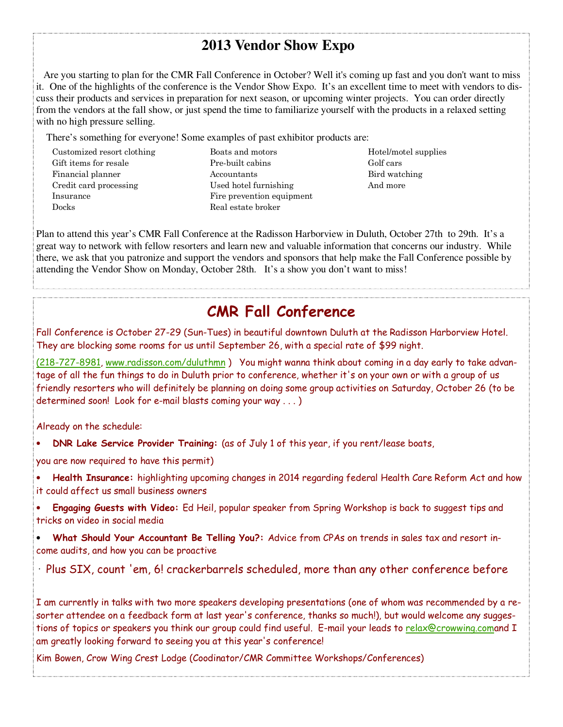### **2013 Vendor Show Expo**

 Are you starting to plan for the CMR Fall Conference in October? Well it's coming up fast and you don't want to miss it. One of the highlights of the conference is the Vendor Show Expo. It's an excellent time to meet with vendors to discuss their products and services in preparation for next season, or upcoming winter projects. You can order directly from the vendors at the fall show, or just spend the time to familiarize yourself with the products in a relaxed setting with no high pressure selling.

There's something for everyone! Some examples of past exhibitor products are:

Customized resort clothing Gift items for resale Financial planner Credit card processing Insurance Docks

Boats and motors Pre-built cabins Accountants Used hotel furnishing Fire prevention equipment Real estate broker

Hotel/motel supplies Golf cars Bird watching And more

Plan to attend this year's CMR Fall Conference at the Radisson Harborview in Duluth, October 27th to 29th. It's a great way to network with fellow resorters and learn new and valuable information that concerns our industry. While there, we ask that you patronize and support the vendors and sponsors that help make the Fall Conference possible by attending the Vendor Show on Monday, October 28th. It's a show you don't want to miss!

### **CMR Fall Conference**

Fall Conference is October 27-29 (Sun-Tues) in beautiful downtown Duluth at the Radisson Harborview Hotel. They are blocking some rooms for us until September 26, with a special rate of \$99 night.

(218-727-8981, www.radisson.com/duluthmn ) You might wanna think about coming in a day early to take advantage of all the fun things to do in Duluth prior to conference, whether it's on your own or with a group of us friendly resorters who will definitely be planning on doing some group activities on Saturday, October 26 (to be determined soon! Look for e-mail blasts coming your way . . . )

Already on the schedule:

• **DNR Lake Service Provider Training:** (as of July 1 of this year, if you rent/lease boats,

you are now required to have this permit)

- **Health Insurance:** highlighting upcoming changes in 2014 regarding federal Health Care Reform Act and how it could affect us small business owners
- **Engaging Guests with Video:** Ed Heil, popular speaker from Spring Workshop is back to suggest tips and tricks on video in social media

• **What Should Your Accountant Be Telling You?:** Advice from CPAs on trends in sales tax and resort income audits, and how you can be proactive

Plus SIX, count 'em, 6! crackerbarrels scheduled, more than any other conference before

I am currently in talks with two more speakers developing presentations (one of whom was recommended by a resorter attendee on a feedback form at last year's conference, thanks so much!), but would welcome any suggestions of topics or speakers you think our group could find useful. E-mail your leads to relax@crowwing.comand I am greatly looking forward to seeing you at this year's conference!

Kim Bowen, Crow Wing Crest Lodge (Coodinator/CMR Committee Workshops/Conferences)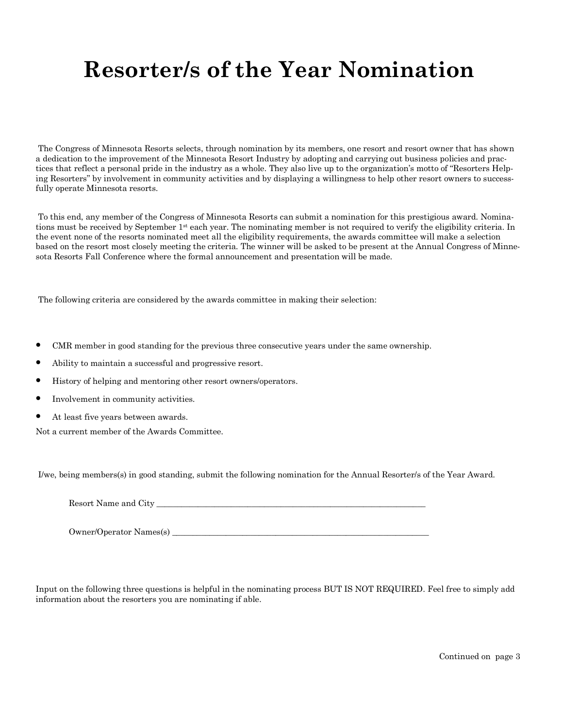# **Resorter/s of the Year Nomination**

 The Congress of Minnesota Resorts selects, through nomination by its members, one resort and resort owner that has shown a dedication to the improvement of the Minnesota Resort Industry by adopting and carrying out business policies and practices that reflect a personal pride in the industry as a whole. They also live up to the organization's motto of "Resorters Helping Resorters" by involvement in community activities and by displaying a willingness to help other resort owners to successfully operate Minnesota resorts.

 To this end, any member of the Congress of Minnesota Resorts can submit a nomination for this prestigious award. Nominations must be received by September 1st each year. The nominating member is not required to verify the eligibility criteria. In the event none of the resorts nominated meet all the eligibility requirements, the awards committee will make a selection based on the resort most closely meeting the criteria. The winner will be asked to be present at the Annual Congress of Minnesota Resorts Fall Conference where the formal announcement and presentation will be made.

The following criteria are considered by the awards committee in making their selection:

- CMR member in good standing for the previous three consecutive years under the same ownership.
- Ability to maintain a successful and progressive resort.
- History of helping and mentoring other resort owners/operators.
- Involvement in community activities.
- At least five years between awards.

Not a current member of the Awards Committee.

I/we, being members(s) in good standing, submit the following nomination for the Annual Resorter/s of the Year Award.

Resort Name and City \_\_\_\_\_\_\_\_\_\_\_\_\_\_\_\_\_\_\_\_\_\_\_\_\_\_\_\_\_\_\_\_\_\_\_\_\_\_\_\_\_\_\_\_\_\_\_\_\_\_\_\_\_\_\_\_\_\_\_\_\_\_\_\_\_

Owner/Operator Names(s)

Input on the following three questions is helpful in the nominating process BUT IS NOT REQUIRED. Feel free to simply add information about the resorters you are nominating if able.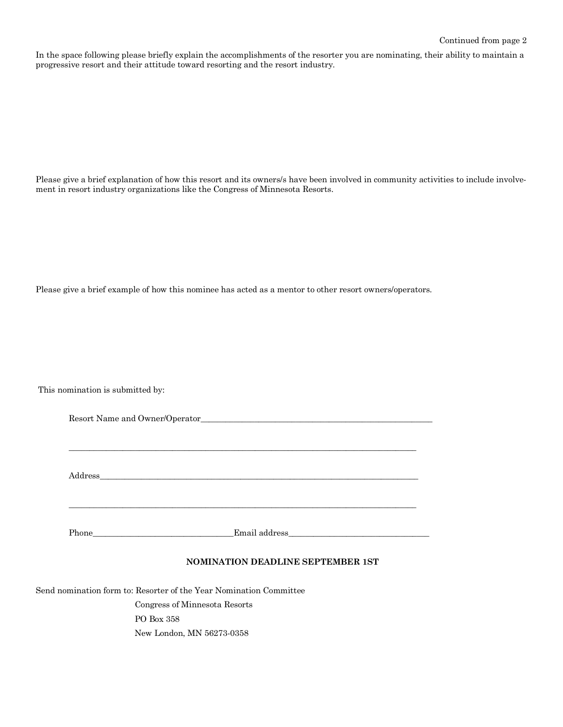In the space following please briefly explain the accomplishments of the resorter you are nominating, their ability to maintain a progressive resort and their attitude toward resorting and the resort industry.

Please give a brief explanation of how this resort and its owners/s have been involved in community activities to include involvement in resort industry organizations like the Congress of Minnesota Resorts.

Please give a brief example of how this nominee has acted as a mentor to other resort owners/operators.

This nomination is submitted by:

| Address |  |
|---------|--|
|         |  |

#### **NOMINATION DEADLINE SEPTEMBER 1ST**

Send nomination form to: Resorter of the Year Nomination Committee

 Congress of Minnesota Resorts PO Box 358 New London, MN 56273-0358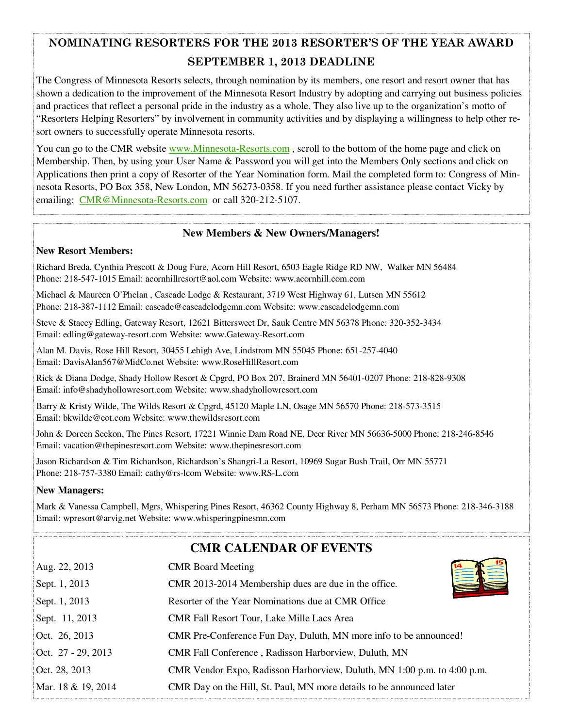### **NOMINATING RESORTERS FOR THE 2013 RESORTER'S OF THE YEAR AWARD SEPTEMBER 1, 2013 DEADLINE**

The Congress of Minnesota Resorts selects, through nomination by its members, one resort and resort owner that has shown a dedication to the improvement of the Minnesota Resort Industry by adopting and carrying out business policies and practices that reflect a personal pride in the industry as a whole. They also live up to the organization's motto of "Resorters Helping Resorters" by involvement in community activities and by displaying a willingness to help other resort owners to successfully operate Minnesota resorts.

You can go to the CMR website www.Minnesota-Resorts.com, scroll to the bottom of the home page and click on Membership. Then, by using your User Name & Password you will get into the Members Only sections and click on Applications then print a copy of Resorter of the Year Nomination form. Mail the completed form to: Congress of Minnesota Resorts, PO Box 358, New London, MN 56273-0358. If you need further assistance please contact Vicky by emailing: CMR@Minnesota-Resorts.com or call 320-212-5107.

#### **New Members & New Owners/Managers!**

#### **New Resort Members:**

Richard Breda, Cynthia Prescott & Doug Fure, Acorn Hill Resort, 6503 Eagle Ridge RD NW, Walker MN 56484 Phone: 218-547-1015 Email: acornhillresort@aol.com Website: www.acornhill.com.com

Michael & Maureen O'Phelan , Cascade Lodge & Restaurant, 3719 West Highway 61, Lutsen MN 55612 Phone: 218-387-1112 Email: cascade@cascadelodgemn.com Website: www.cascadelodgemn.com

Steve & Stacey Edling, Gateway Resort, 12621 Bittersweet Dr, Sauk Centre MN 56378 Phone: 320-352-3434 Email: edling@gateway-resort.com Website: www.Gateway-Resort.com

Alan M. Davis, Rose Hill Resort, 30455 Lehigh Ave, Lindstrom MN 55045 Phone: 651-257-4040 Email: DavisAlan567@MidCo.net Website: www.RoseHillResort.com

Rick & Diana Dodge, Shady Hollow Resort & Cpgrd, PO Box 207, Brainerd MN 56401-0207 Phone: 218-828-9308 Email: info@shadyhollowresort.com Website: www.shadyhollowresort.com

Barry & Kristy Wilde, The Wilds Resort & Cpgrd, 45120 Maple LN, Osage MN 56570 Phone: 218-573-3515 Email: bkwilde@eot.com Website: www.thewildsresort.com

John & Doreen Seekon, The Pines Resort, 17221 Winnie Dam Road NE, Deer River MN 56636-5000 Phone: 218-246-8546 Email: vacation@thepinesresort.com Website: www.thepinesresort.com

Jason Richardson & Tim Richardson, Richardson's Shangri-La Resort, 10969 Sugar Bush Trail, Orr MN 55771 Phone: 218-757-3380 Email: cathy@rs-lcom Website: www.RS-L.com

#### **New Managers:**

Mark & Vanessa Campbell, Mgrs, Whispering Pines Resort, 46362 County Highway 8, Perham MN 56573 Phone: 218-346-3188 Email: wpresort@arvig.net Website: www.whisperingpinesmn.com

### **CMR CALENDAR OF EVENTS**

| Aug. 22, 2013      | <b>CMR</b> Board Meeting                                                |
|--------------------|-------------------------------------------------------------------------|
| Sept. 1, 2013      | CMR 2013-2014 Membership dues are due in the office.                    |
| Sept. 1, 2013      | Resorter of the Year Nominations due at CMR Office                      |
| Sept. 11, 2013     | CMR Fall Resort Tour, Lake Mille Lacs Area                              |
| Oct. 26, 2013      | CMR Pre-Conference Fun Day, Duluth, MN more info to be announced!       |
| Oct. 27 - 29, 2013 | CMR Fall Conference, Radisson Harborview, Duluth, MN                    |
| Oct. 28, 2013      | CMR Vendor Expo, Radisson Harborview, Duluth, MN 1:00 p.m. to 4:00 p.m. |
| Mar. 18 & 19, 2014 | CMR Day on the Hill, St. Paul, MN more details to be announced later    |
|                    |                                                                         |